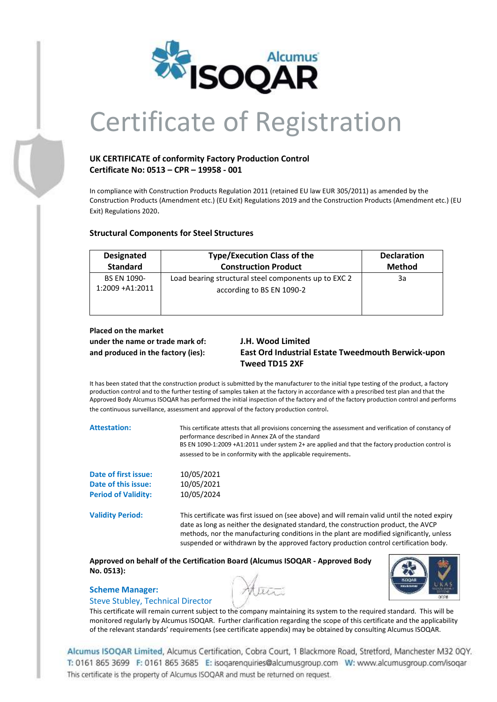

# Certificate of Registration

## **UK CERTIFICATE of conformity Factory Production Control Certificate No: 0513 – CPR – 19958 - 001**

In compliance with Construction Products Regulation 2011 (retained EU law EUR 305/2011) as amended by the Construction Products (Amendment etc.) (EU Exit) Regulations 2019 and the Construction Products (Amendment etc.) (EU Exit) Regulations 2020.

| <b>Designated</b>                      | <b>Type/Execution Class of the</b>                                                | <b>Declaration</b> |
|----------------------------------------|-----------------------------------------------------------------------------------|--------------------|
| <b>Standard</b>                        | <b>Construction Product</b>                                                       | <b>Method</b>      |
| <b>BS EN 1090-</b><br>1:2009 + A1:2011 | Load bearing structural steel components up to EXC 2<br>according to BS EN 1090-2 | За                 |

# **Structural Components for Steel Structures**

# **Placed on the market under the name or trade mark of: J.H. Wood Limited**

# **and produced in the factory (ies): East Ord Industrial Estate Tweedmouth Berwick-upon Tweed TD15 2XF**

It has been stated that the construction product is submitted by the manufacturer to the initial type testing of the product, a factory production control and to the further testing of samples taken at the factory in accordance with a prescribed test plan and that the Approved Body Alcumus ISOQAR has performed the initial inspection of the factory and of the factory production control and performs the continuous surveillance, assessment and approval of the factory production control.

**Attestation:** This certificate attests that all provisions concerning the assessment and verification of constancy of performance described in Annex ZA of the standard BS EN 1090-1:2009 +A1:2011 under system 2+ are applied and that the factory production control is assessed to be in conformity with the applicable requirements.

| Date of first issue:       | 10/05/2021 |
|----------------------------|------------|
| Date of this issue:        | 10/05/2021 |
| <b>Period of Validity:</b> | 10/05/2024 |

**Validity Period:** This certificate was first issued on (see above) and will remain valid until the noted expiry date as long as neither the designated standard, the construction product, the AVCP methods, nor the manufacturing conditions in the plant are modified significantly, unless suspended or withdrawn by the approved factory production control certification body.

**Approved on behalf of the Certification Board (Alcumus ISOQAR - Approved Body No. 0513):**

## **Scheme Manager:**

## Steve Stubley, Technical Director

This certificate will remain current subject to the company maintaining its system to the required standard. This will be monitored regularly by Alcumus ISOQAR. Further clarification regarding the scope of this certificate and the applicability of the relevant standards' requirements (see certificate appendix) may be obtained by consulting Alcumus ISOQAR.

Alcumus ISOQAR Limited, Alcumus Certification, Cobra Court, 1 Blackmore Road, Stretford, Manchester M32 0QY. T: 0161 865 3699 F: 0161 865 3685 E: isogarenguiries@alcumusgroup.com W: www.alcumusgroup.com/isogar This certificate is the property of Alcumus ISOQAR and must be returned on request.